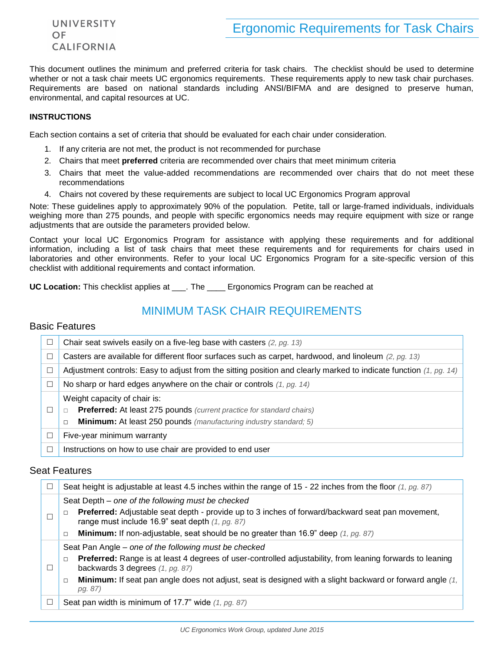UNIVERSITY OF **CALIFORNIA** 

This document outlines the minimum and preferred criteria for task chairs. The checklist should be used to determine whether or not a task chair meets UC ergonomics requirements. These requirements apply to new task chair purchases. Requirements are based on national standards including ANSI/BIFMA and are designed to preserve human, environmental, and capital resources at UC.

#### **INSTRUCTIONS**

Each section contains a set of criteria that should be evaluated for each chair under consideration.

- 1. If any criteria are not met, the product is not recommended for purchase
- 2. Chairs that meet **preferred** criteria are recommended over chairs that meet minimum criteria
- 3. Chairs that meet the value-added recommendations are recommended over chairs that do not meet these recommendations
- 4. Chairs not covered by these requirements are subject to local UC Ergonomics Program approval

Note: These guidelines apply to approximately 90% of the population. Petite, tall or large-framed individuals, individuals weighing more than 275 pounds, and people with specific ergonomics needs may require equipment with size or range adjustments that are outside the parameters provided below.

Contact your local UC Ergonomics Program for assistance with applying these requirements and for additional information, including a list of task chairs that meet these requirements and for requirements for chairs used in laboratories and other environments. Refer to your local UC Ergonomics Program for a site-specific version of this checklist with additional requirements and contact information.

**UC Location:** This checklist applies at \_\_\_. The \_\_\_\_\_ Ergonomics Program can be reached at

# MINIMUM TASK CHAIR REQUIREMENTS

## Basic Features

| П      | Chair seat swivels easily on a five-leg base with casters $(2, pg. 13)$                                             |
|--------|---------------------------------------------------------------------------------------------------------------------|
|        | Casters are available for different floor surfaces such as carpet, hardwood, and linoleum $(2, pg. 13)$             |
| $\Box$ | Adjustment controls: Easy to adjust from the sitting position and clearly marked to indicate function $(1, pg. 14)$ |
| ш      | No sharp or hard edges anywhere on the chair or controls $(1, pg. 14)$                                              |
|        | Weight capacity of chair is:                                                                                        |
| o      | <b>Preferred:</b> At least 275 pounds (current practice for standard chairs)<br>$\Box$                              |
|        | <b>Minimum:</b> At least 250 pounds (manufacturing industry standard; 5)<br>$\Box$                                  |
| П      | Five-year minimum warranty                                                                                          |
| □      | Instructions on how to use chair are provided to end user                                                           |

## Seat Features

| $\Box$ | Seat height is adjustable at least 4.5 inches within the range of 15 - 22 inches from the floor $(1, pg. 87)$                                       |
|--------|-----------------------------------------------------------------------------------------------------------------------------------------------------|
| П      | Seat Depth – one of the following must be checked                                                                                                   |
|        | Preferred: Adjustable seat depth - provide up to 3 inches of forward/backward seat pan movement,<br>range must include 16.9" seat depth (1, pg. 87) |
|        | <b>Minimum:</b> If non-adjustable, seat should be no greater than 16.9" deep $(1, pg. 87)$<br>$\Box$                                                |
|        | Seat Pan Angle – one of the following must be checked                                                                                               |
| Ξ      | Preferred: Range is at least 4 degrees of user-controlled adjustability, from leaning forwards to leaning<br>backwards 3 degrees (1, pg. 87)        |
|        | <b>Minimum:</b> If seat pan angle does not adjust, seat is designed with a slight backward or forward angle (1,<br>$\Box$<br>pg. 87)                |
| $\Box$ | Seat pan width is minimum of 17.7" wide $(1, pg. 87)$                                                                                               |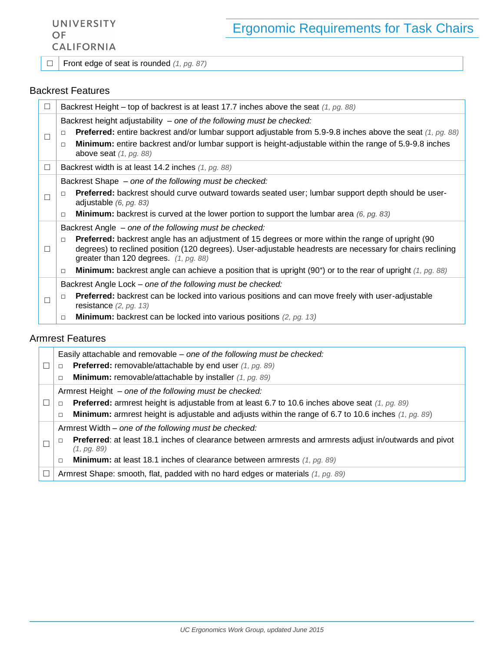UNIVERSITY OF **CALIFORNIA** 

□ Front edge of seat is rounded *(1, pg. 87)*

## Backrest Features

| $\Box$ | Backrest Height – top of backrest is at least 17.7 inches above the seat $(1, pg. 88)$                                                                                                                                                                                                                                                                                                                                                                               |
|--------|----------------------------------------------------------------------------------------------------------------------------------------------------------------------------------------------------------------------------------------------------------------------------------------------------------------------------------------------------------------------------------------------------------------------------------------------------------------------|
| $\Box$ | Backrest height adjustability - one of the following must be checked:<br><b>Preferred:</b> entire backrest and/or lumbar support adjustable from 5.9-9.8 inches above the seat $(1, pg. 88)$<br>$\Box$<br>Minimum: entire backrest and/or lumbar support is height-adjustable within the range of 5.9-9.8 inches<br>$\Box$<br>above seat $(1, pq. 88)$                                                                                                               |
| $\Box$ | Backrest width is at least 14.2 inches (1, pg. 88)                                                                                                                                                                                                                                                                                                                                                                                                                   |
| □      | Backrest Shape - one of the following must be checked:<br>Preferred: backrest should curve outward towards seated user; lumbar support depth should be user-<br>$\Box$<br>adjustable $(6, pg. 83)$<br><b>Minimum:</b> backrest is curved at the lower portion to support the lumbar area (6, pg. 83)<br>$\Box$                                                                                                                                                       |
| □      | Backrest Angle - one of the following must be checked:<br><b>Preferred:</b> backrest angle has an adjustment of 15 degrees or more within the range of upright (90)<br>$\Box$<br>degrees) to reclined position (120 degrees). User-adjustable headrests are necessary for chairs reclining<br>greater than 120 degrees. $(1, pg. 88)$<br><b>Minimum:</b> backrest angle can achieve a position that is upright (90°) or to the rear of upright (1, pg. 88)<br>$\Box$ |
|        | Backrest Angle Lock – one of the following must be checked:                                                                                                                                                                                                                                                                                                                                                                                                          |
| □      | <b>Preferred:</b> backrest can be locked into various positions and can move freely with user-adjustable<br>$\Box$<br>resistance $(2, pg. 13)$                                                                                                                                                                                                                                                                                                                       |
|        | <b>Minimum:</b> backrest can be locked into various positions $(2, pg. 13)$<br>$\Box$                                                                                                                                                                                                                                                                                                                                                                                |

## Armrest Features

|   | Easily attachable and removable – one of the following must be checked:                                                          |
|---|----------------------------------------------------------------------------------------------------------------------------------|
| □ | <b>Preferred:</b> removable/attachable by end user (1, pg. 89)<br>$\Box$                                                         |
|   | <b>Minimum:</b> removable/attachable by installer $(1, pg. 89)$<br>$\Box$                                                        |
|   | Armrest Height – one of the following must be checked:                                                                           |
| □ | <b>Preferred:</b> armrest height is adjustable from at least 6.7 to 10.6 inches above seat $(1, pg. 89)$<br>$\Box$               |
|   | <b>Minimum:</b> armrest height is adjustable and adjusts within the range of 6.7 to 10.6 inches $(1, pg. 89)$<br>$\Box$          |
|   | Armrest Width – one of the following must be checked:                                                                            |
|   | Preferred: at least 18.1 inches of clearance between armrests and armrests adjust in/outwards and pivot<br>$\Box$<br>(1, pq. 89) |
|   | <b>Minimum:</b> at least 18.1 inches of clearance between armrests $(1, pg. 89)$<br>$\Box$                                       |
| □ | Armrest Shape: smooth, flat, padded with no hard edges or materials (1, pg. 89)                                                  |